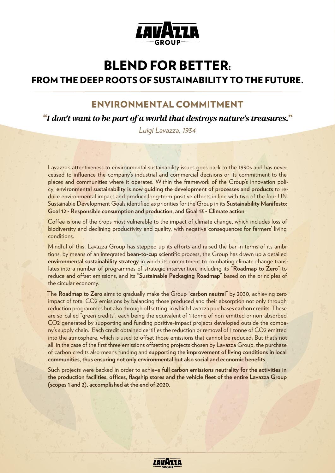

# BLEND FOR BETTER:

# FROM THE DEEP ROOTS OF SUSTAINABILITY TO THE FUTURE.

## ENVIRONMENTAL COMMITMENT

*"I don't want to be part of a world that destroys nature's treasures."*

*Luigi Lavazza, 1934*

Lavazza's attentiveness to environmental sustainability issues goes back to the 1930s and has never ceased to influence the company's industrial and commercial decisions or its commitment to the places and communities where it operates. Within the framework of the Group's innovation policy, **environmental sustainability is now guiding the development of processes and products** to reduce environmental impact and produce long-term positive effects in line with two of the four UN Sustainable Development Goals identified as priorities for the Group in its **Sustainability Manifesto: Goal 12 - Responsible consumption and production, and Goal 13 - Climate action**.

Coffee is one of the crops most vulnerable to the impact of climate change, which includes loss of biodiversity and declining productivity and quality, with negative consequences for farmers' living conditions.

Mindful of this, Lavazza Group has stepped up its efforts and raised the bar in terms of its ambitions: by means of an integrated **bean-to-cup** scientific process, the Group has drawn up a detailed **environmental sustainability strategy** in which its commitment to combating climate change translates into a number of programmes of strategic intervention, including its "**Roadmap to Zero**" to reduce and offset emissions, and its "**Sustainable Packaging Roadmap**" based on the principles of the circular economy.

The **Roadmap to Zero** aims to gradually make the Group "**carbon neutral**" by 2030, achieving zero impact of total CO2 emissions by balancing those produced and their absorption not only through reduction programmes but also through offsetting, in which Lavazza purchases **carbon credits**. These are so-called "green credits", each being the equivalent of 1 tonne of non-emitted or non-absorbed CO2 generated by supporting and funding positive-impact projects developed outside the company's supply chain. Each credit obtained certifies the reduction or removal of 1 tonne of CO2 emitted into the atmosphere, which is used to offset those emissions that cannot be reduced. But that's not all: in the case of the first three emissions offsetting projects chosen by Lavazza Group, the purchase of carbon credits also means funding and **supporting the improvement of living conditions in local communities, thus ensuring not only environmental but also social and economic benefits**.

Such projects were backed in order to achieve **full carbon emissions neutrality for the activities in the production facilities, offices, flagship stores and the vehicle fleet of the entire Lavazza Group (scopes 1 and 2), accomplished at the end of 2020**.